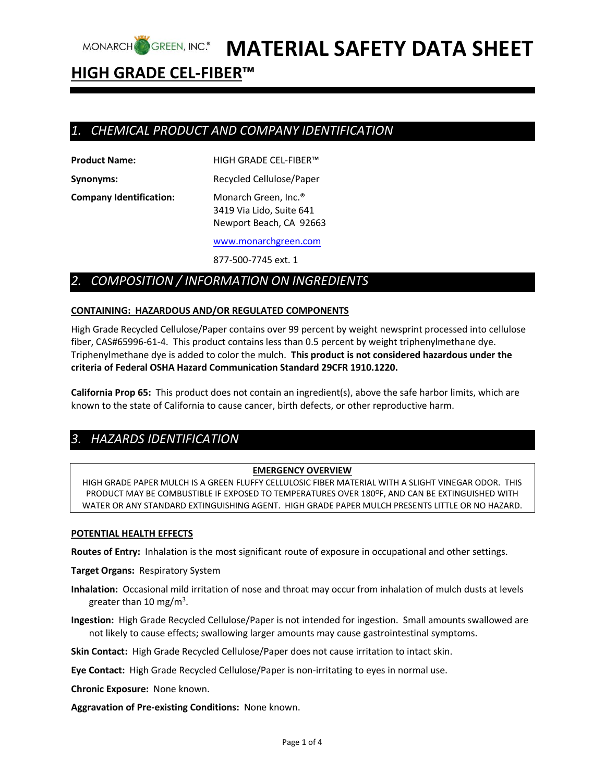

# **HIGH GRADE CEL-FIBER™**

## *1. CHEMICAL PRODUCT AND COMPANY IDENTIFICATION*

**Product Name:** HIGH GRADE CEL-FIBER™

**Synonyms:** Recycled Cellulose/Paper

**Company Identification:** Monarch Green, Inc.®

3419 Via Lido, Suite 641 Newport Beach, CA 92663

[www.monarchgreen.com](http://www.monarchgreen.com/)

877-500-7745 ext. 1

# *2. COMPOSITION / INFORMATION ON INGREDIENTS*

### **CONTAINING: HAZARDOUS AND/OR REGULATED COMPONENTS**

High Grade Recycled Cellulose/Paper contains over 99 percent by weight newsprint processed into cellulose fiber, CAS#65996-61-4. This product contains less than 0.5 percent by weight triphenylmethane dye. Triphenylmethane dye is added to color the mulch. **This product is not considered hazardous under the criteria of Federal OSHA Hazard Communication Standard 29CFR 1910.1220.**

**California Prop 65:** This product does not contain an ingredient(s), above the safe harbor limits, which are known to the state of California to cause cancer, birth defects, or other reproductive harm.

# *3. HAZARDS IDENTIFICATION*

### **EMERGENCY OVERVIEW**

HIGH GRADE PAPER MULCH IS A GREEN FLUFFY CELLULOSIC FIBER MATERIAL WITH A SLIGHT VINEGAR ODOR. THIS PRODUCT MAY BE COMBUSTIBLE IF EXPOSED TO TEMPERATURES OVER 180°F, AND CAN BE EXTINGUISHED WITH WATER OR ANY STANDARD EXTINGUISHING AGENT. HIGH GRADE PAPER MULCH PRESENTS LITTLE OR NO HAZARD.

### **POTENTIAL HEALTH EFFECTS**

**Routes of Entry:** Inhalation is the most significant route of exposure in occupational and other settings.

**Target Organs:** Respiratory System

- **Inhalation:** Occasional mild irritation of nose and throat may occur from inhalation of mulch dusts at levels greater than 10 mg/m<sup>3</sup>.
- **Ingestion:** High Grade Recycled Cellulose/Paper is not intended for ingestion. Small amounts swallowed are not likely to cause effects; swallowing larger amounts may cause gastrointestinal symptoms.

**Skin Contact:** High Grade Recycled Cellulose/Paper does not cause irritation to intact skin.

**Eye Contact:** High Grade Recycled Cellulose/Paper is non-irritating to eyes in normal use.

**Chronic Exposure:** None known.

**Aggravation of Pre-existing Conditions:** None known.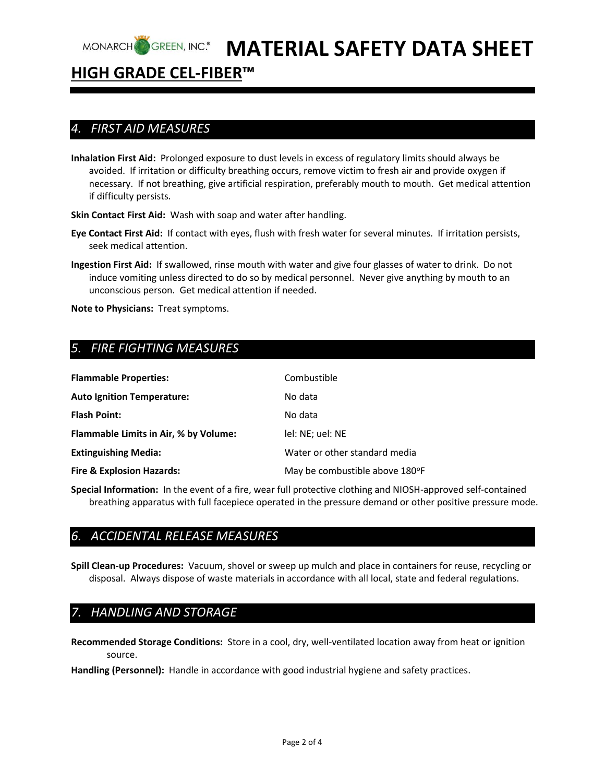

# **HIGH GRADE CEL-FIBER™**

### *4. FIRST AID MEASURES*

**Inhalation First Aid:** Prolonged exposure to dust levels in excess of regulatory limits should always be avoided. If irritation or difficulty breathing occurs, remove victim to fresh air and provide oxygen if necessary. If not breathing, give artificial respiration, preferably mouth to mouth. Get medical attention if difficulty persists.

**Skin Contact First Aid:** Wash with soap and water after handling.

- **Eye Contact First Aid:** If contact with eyes, flush with fresh water for several minutes. If irritation persists, seek medical attention.
- **Ingestion First Aid:** If swallowed, rinse mouth with water and give four glasses of water to drink. Do not induce vomiting unless directed to do so by medical personnel. Never give anything by mouth to an unconscious person. Get medical attention if needed.

**Note to Physicians:** Treat symptoms.

# *5. FIRE FIGHTING MEASURES*

| <b>Flammable Properties:</b>          | Combustible                    |
|---------------------------------------|--------------------------------|
| <b>Auto Ignition Temperature:</b>     | No data                        |
| <b>Flash Point:</b>                   | No data                        |
| Flammable Limits in Air, % by Volume: | lel: NE; uel: NE               |
| <b>Extinguishing Media:</b>           | Water or other standard media  |
| <b>Fire &amp; Explosion Hazards:</b>  | May be combustible above 180°F |

**Special Information:** In the event of a fire, wear full protective clothing and NIOSH-approved self-contained breathing apparatus with full facepiece operated in the pressure demand or other positive pressure mode.

# *6. ACCIDENTAL RELEASE MEASURES*

**Spill Clean-up Procedures:** Vacuum, shovel or sweep up mulch and place in containers for reuse, recycling or disposal. Always dispose of waste materials in accordance with all local, state and federal regulations.

# *7. HANDLING AND STORAGE*

**Recommended Storage Conditions:** Store in a cool, dry, well-ventilated location away from heat or ignition source.

**Handling (Personnel):** Handle in accordance with good industrial hygiene and safety practices.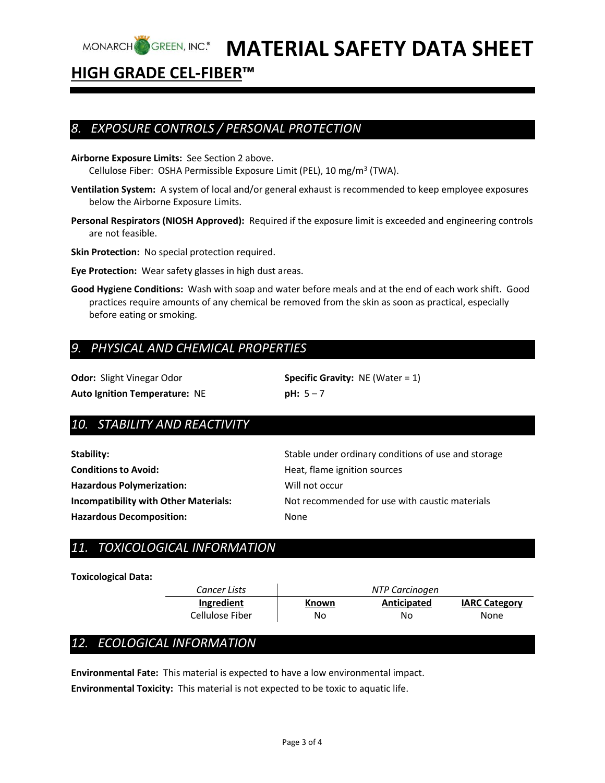

# **HIGH GRADE CEL-FIBER™**

### *8. EXPOSURE CONTROLS / PERSONAL PROTECTION*

- **Airborne Exposure Limits:** See Section 2 above. Cellulose Fiber: OSHA Permissible Exposure Limit (PEL), 10 mg/m<sup>3</sup> (TWA).
- **Ventilation System:** A system of local and/or general exhaust is recommended to keep employee exposures below the Airborne Exposure Limits.
- **Personal Respirators (NIOSH Approved):** Required if the exposure limit is exceeded and engineering controls are not feasible.

**Skin Protection:** No special protection required.

- **Eye Protection:** Wear safety glasses in high dust areas.
- **Good Hygiene Conditions:** Wash with soap and water before meals and at the end of each work shift. Good practices require amounts of any chemical be removed from the skin as soon as practical, especially before eating or smoking.

# *9. PHYSICAL AND CHEMICAL PROPERTIES*

**Auto Ignition Temperature:** NE **pH:** 5 – 7

**Odor:** Slight Vinegar Odor **Specific Gravity:** NE (Water = 1)

# *10. STABILITY AND REACTIVITY*

| Stability:                                   | Stable under ordinary conditions of use and storage |
|----------------------------------------------|-----------------------------------------------------|
| <b>Conditions to Avoid:</b>                  | Heat, flame ignition sources                        |
| <b>Hazardous Polymerization:</b>             | Will not occur                                      |
| <b>Incompatibility with Other Materials:</b> | Not recommended for use with caustic materials      |
| <b>Hazardous Decomposition:</b>              | None                                                |

# *11. TOXICOLOGICAL INFORMATION*

### **Toxicological Data:**

| Cancer Lists    | NTP Carcinogen |             |                      |
|-----------------|----------------|-------------|----------------------|
| Ingredient      | Known          | Anticipated | <b>IARC Category</b> |
| Cellulose Fiber | No             | No          | None                 |

# *12. ECOLOGICAL INFORMATION*

**Environmental Fate:** This material is expected to have a low environmental impact.

**Environmental Toxicity:** This material is not expected to be toxic to aquatic life.